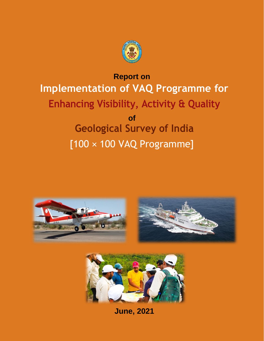

# **Report on Implementation of VAQ Programme for Enhancing Visibility, Activity & Quality of Geological Survey of India** [100 × 100 VAQ Programme]





**June, 2021**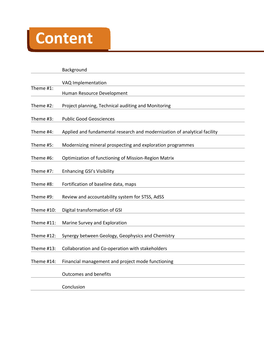# **Content**

Background VAQ Implementation Theme #1: Human Resource Development Theme #2: Project planning, Technical auditing and Monitoring Theme #3: Public Good Geosciences Theme #4: Applied and fundamental research and modernization of analytical facility Theme #5: Modernizing mineral prospecting and exploration programmes Theme #6: Optimization of functioning of Mission-Region Matrix Theme #7: Enhancing GSI's Visibility Theme #8: Fortification of baseline data, maps Theme #9: Review and accountability system for STSS, AdSS Theme #10: Digital transformation of GSI Theme #11: Marine Survey and Exploration Theme #12: Synergy between Geology, Geophysics and Chemistry Theme #13: Collaboration and Co-operation with stakeholders Theme #14: Financial management and project mode functioning Outcomes and benefits Conclusion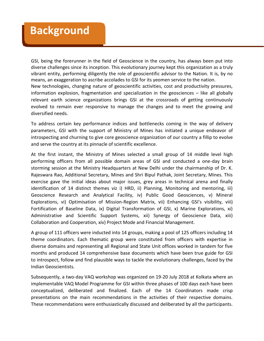# **Background**

GSI, being the forerunner in the field of Geoscience in the country, has always been put into diverse challenges since its inception. This evolutionary journey kept this organization as a truly vibrant entity, performing diligently the role of geoscientific advisor to the Nation. It is, by no means, an exaggeration to ascribe accolades to GSI for its yeomen service to the nation. New technologies, changing nature of geoscientific activities, cost and productivity pressures, information explosion, fragmentation and specialization in the geosciences – like all globally relevant earth science organizations brings GSI at the crossroads of getting continuously evolved to remain ever responsive to manage the changes and to meet the growing and diversified needs.

To address certain key performance indices and bottlenecks coming in the way of delivery parameters, GSI with the support of Ministry of Mines has initiated a unique endeavor of introspecting and churning to give core geoscience organization of our country a fillip to evolve and serve the country at its pinnacle of scientific excellence.

At the first instant, the Ministry of Mines selected a small group of 14 middle level high performing officers from all possible domain areas of GSI and conducted a one-day brain storming session at the Ministry Headquarters at New Delhi under the chairmanship of Dr. K. Rajeswara Rao, Additional Secretary, Mines and Shri Bipul Pathak, Joint Secretary, Mines. This exercise gave the initial ideas about major issues, grey areas in technical arena and finally identification of 14 distinct themes viz i) HRD, ii) Planning, Monitoring and mentoring, iii) Geoscience Research and Analytical Facility, iv) Public Good Geosciences, v) Mineral Explorations, vi) Optimisation of Mission-Region Matrix, vii) Enhancing GSI's visibility, viii) Fortification of Baseline Data, ix) Digital Transformation of GSI, x) Marine Explorations, xi) Administrative and Scientific Support Systems, xii) Synergy of Geoscience Data, xiii) Collaboration and Cooperation, xiv) Project Mode and Financial Management.

A group of 111 officers were inducted into 14 groups, making a pool of 125 officers including 14 theme coordinators. Each thematic group were constituted from officers with expertise in diverse domains and representing all Regional and State Unit offices worked in tandem for five months and produced 14 comprehensive base documents which have been true guide for GSI to introspect, follow and find plausible ways to tackle the evolutionary challenges, faced by the Indian Geoscientists.

Subsequently, a two-day VAQ workshop was organized on 19-20 July 2018 at Kolkata where an implementable VAQ Model Programme for GSI within three phases of 100 days each have been conceptualized, deliberated and finalized. Each of the 14 Coordinators made crisp presentations on the main recommendations in the activities of their respective domains. These recommendations were enthusiastically discussed and deliberated by all the participants.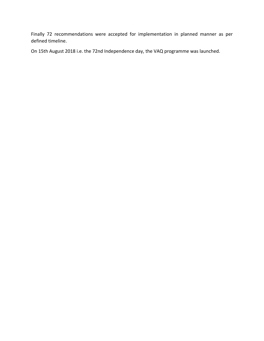Finally 72 recommendations were accepted for implementation in planned manner as per defined timeline.

On 15th August 2018 i.e. the 72nd Independence day, the VAQ programme was launched.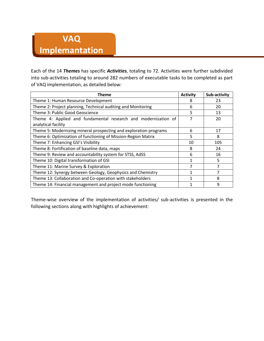# **VAQ**

# **Implemantation**

Each of the 14 *Themes* has specific *Activities*, totaling to 72. Activities were further subdivided into sub-activities totaling to around 282 numbers of executable tasks to be completed as part of VAQ implementation, as detailed below:

| Theme                                                             | <b>Activity</b> | Sub-activity |
|-------------------------------------------------------------------|-----------------|--------------|
| Theme 1: Human Resource Development                               | 8               | 23           |
| Theme 2: Project planning, Technical auditing and Monitoring      | 6               | 20           |
| Theme 3: Public Good Geoscience                                   | 5               | 13           |
| Theme 4: Applied and fundamental research and modernization of    |                 | 20           |
| analytical facility                                               |                 |              |
| Theme 5: Modernizing mineral prospecting and exploration programs | 6               | 17           |
| Theme 6: Optimization of functioning of Mission-Region Matrix     | 5               | 8            |
| Theme 7: Enhancing GSI's Visibility                               | 10              | 105          |
| Theme 8: Fortification of baseline data, maps                     | 8               | 24           |
| Theme 9: Review and accountability system for STSS, AdSS          | 6               | 16           |
| Theme 10: Digital transformation of GSI                           |                 | 5            |
| Theme 11: Marine Survey & Exploration                             |                 |              |
| Theme 12: Synergy between Geology, Geophysics and Chemistry       |                 | 7            |
| Theme 13: Collaboration and Co-operation with stakeholders        |                 | 8            |
| Theme 14: Financial management and project mode functioning       |                 | 9            |

Theme-wise overview of the implementation of activities/ sub-activities is presented in the following sections along with highlights of achievement: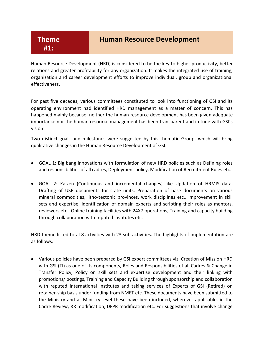#### **Human Resource Development**

Human Resource Development (HRD) is considered to be the key to higher productivity, better relations and greater profitability for any organization. It makes the integrated use of training, organization and career development efforts to improve individual, group and organizational effectiveness.

For past five decades, various committees constituted to look into functioning of GSI and its operating environment had identified HRD management as a matter of concern. This has happened mainly because; neither the human resource development has been given adequate importance nor the human resource management has been transparent and in tune with GSI's vision.

Two distinct goals and milestones were suggested by this thematic Group, which will bring qualitative changes in the Human Resource Development of GSI.

- GOAL 1: Big bang innovations with formulation of new HRD policies such as Defining roles and responsibilities of all cadres, Deployment policy, Modification of Recruitment Rules etc.
- GOAL 2: Kaizen (Continuous and incremental changes) like Updation of HRMIS data, Drafting of USP documents for state units, Preparation of base documents on various mineral commodities, litho-tectonic provinces, work disciplines etc., Improvement in skill sets and expertise, Identification of domain experts and scripting their roles as mentors, reviewers etc., Online training facilities with 24X7 operations, Training and capacity building through collaboration with reputed institutes etc.

HRD theme listed total 8 activities with 23 sub-activities. The highlights of implementation are as follows:

 Various policies have been prepared by GSI expert committees viz. Creation of Mission HRD with GSI (TI) as one of its components, Roles and Responsibilities of all Cadres & Change in Transfer Policy, Policy on skill sets and expertise development and their linking with promotions/ postings, Training and Capacity Building through sponsorship and collaboration with reputed International Institutes and taking services of Experts of GSI (Retired) on retainer-ship basis under funding from NMET etc. These documents have been submitted to the Ministry and at Ministry level these have been included, wherever applicable, in the Cadre Review, RR modification, DFPR modification etc. For suggestions that involve change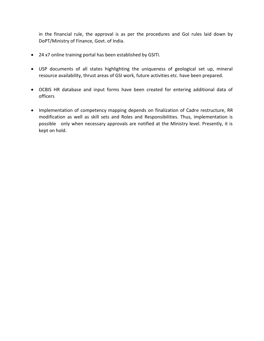in the financial rule, the approval is as per the procedures and GoI rules laid down by DoPT/Ministry of Finance, Govt. of India.

- 24 x7 online training portal has been established by GSITI.
- USP documents of all states highlighting the uniqueness of geological set up, mineral resource availability, thrust areas of GSI work, future activities etc. have been prepared.
- OCBIS HR database and input forms have been created for entering additional data of officers
- Implementation of competency mapping depends on finalization of Cadre restructure, RR modification as well as skill sets and Roles and Responsibilities. Thus, implementation is possible only when necessary approvals are notified at the Ministry level. Presently, it is kept on hold.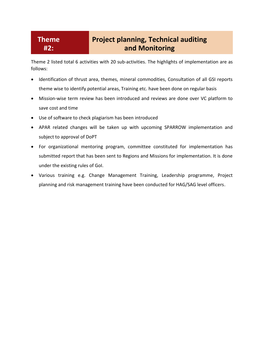#### **Theme #2:**

# **Project planning, Technical auditing and Monitoring**

Theme 2 listed total 6 activities with 20 sub-activities. The highlights of implementation are as follows:

- Identification of thrust area, themes, mineral commodities, Consultation of all GSI reports theme wise to identify potential areas, Training etc. have been done on regular basis
- Mission-wise term review has been introduced and reviews are done over VC platform to save cost and time
- Use of software to check plagiarism has been introduced
- APAR related changes will be taken up with upcoming SPARROW implementation and subject to approval of DoPT
- For organizational mentoring program, committee constituted for implementation has submitted report that has been sent to Regions and Missions for implementation. It is done under the existing rules of GoI.
- Various training e.g. Change Management Training, Leadership programme, Project planning and risk management training have been conducted for HAG/SAG level officers.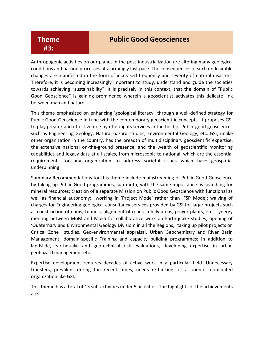#### **Theme #3:**

#### **Public Good Geosciences**

Anthropogenic activities on our planet in the post-industrialization are altering many geological conditions and natural processes at alarmingly fast pace. The consequences of such undesirable changes are manifested in the form of increased frequency and severity of natural disasters. Therefore, it is becoming increasingly important to study, understand and guide the societies towards achieving "sustainability". It is precisely in this context, that the domain of "Public Good Geoscience" is gaining prominence wherein a geoscientist activates this delicate link between man and nature.

This theme emphasized on enhancing 'geological literacy" through a well-defined strategy for Public Good Geoscience in tune with the contemporary geoscientific concepts. It proposes GSI to play greater and effective role by offering its services in the field of Public good geosciences such as Engineering Geology, Natural hazard studies, Environmental Geology, etc. GSI, unlike other organization in the country, has the breadth of multidisciplinary geoscientific expertise, the extensive national on-the-ground presence, and the wealth of geoscientific monitoring capabilities and legacy data at all scales, from microscopic to national, which are the essential requirements for any organization to address societal issues which have geospatial underpinning.

Summary Recommendations for this theme include mainstreaming of Public Good Geoscience by taking up Public Good programmes, suo motu, with the same importance as searching for mineral resources; creation of a separate Mission on Public Good Geoscience with functional as well as financial autonomy; working in 'Project Mode' rather than 'FSP Mode'; waiving of charges for Engineering geological consultancy services provided by GSI for large projects such as construction of dams, tunnels, alignment of roads in hilly areas, power plants, etc.; synergy meeting between MoM and MoES for collaborative work on Earthquake studies; opening of 'Quaternary and Environmental Geology Division' in all the Regions; taking up pilot projects on Critical Zone studies, Geo-environmental appraisal, Urban Geochemistry and River Basin Management; domain-specific Training and capacity building programmes; in addition to landslide, earthquake and geotechnical risk evaluations, developing expertise in urban geohazard management etc.

Expertise development requires decades of active work in a particular field. Unnecessary transfers, prevalent during the recent times, needs rethinking for a scientist-dominated organization like GSI.

This theme has a total of 13 sub-activities under 5 activities. The highlights of the achievements are: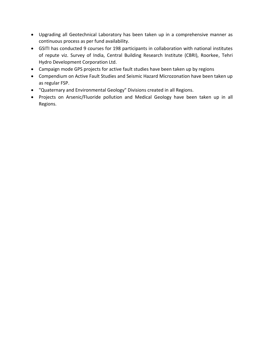- Upgrading all Geotechnical Laboratory has been taken up in a comprehensive manner as continuous process as per fund availability.
- GSITI has conducted 9 courses for 198 participants in collaboration with national institutes of repute viz. Survey of India, Central Building Research Institute (CBRI), Roorkee, Tehri Hydro Development Corporation Ltd.
- Campaign mode GPS projects for active fault studies have been taken up by regions
- Compendium on Active Fault Studies and Seismic Hazard Microzonation have been taken up as regular FSP.
- "Quaternary and Environmental Geology" Divisions created in all Regions.
- Projects on Arsenic/Fluoride pollution and Medical Geology have been taken up in all Regions.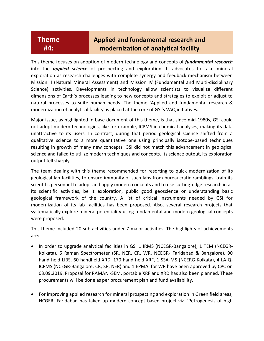#### **Theme #4:**

### **Applied and fundamental research and modernization of analytical facility**

This theme focuses on adoption of modern technology and concepts of *fundamental research* into the *applied science* of prospecting and exploration. It advocates to take mineral exploration as research challenges with complete synergy and feedback mechanism between Mission II (Natural Mineral Assessment) and Mission IV (Fundamental and Multi-disciplinary Science) activities. Developments in technology allow scientists to visualize different dimensions of Earth's processes leading to new concepts and strategies to exploit or adjust to natural processes to suite human needs. The theme 'Applied and fundamental research & modernization of analytical facility' is placed at the core of GSI's VAQ initiatives.

Major issue, as highlighted in base document of this theme, is that since mid-1980s, GSI could not adopt modern technologies, like for example, ICPMS in chemical analyses, making its data unattractive to its users. In contrast, during that period geological science shifted from a qualitative science to a more quantitative one using principally isotope-based techniques resulting in growth of many new concepts. GSI did not match this advancement in geological science and failed to utilize modern techniques and concepts. Its science output, its exploration output fell sharply.

The team dealing with this theme recommended for resorting to quick modernization of its geological lab facilities, to ensure immunity of such labs from bureaucratic ramblings, train its scientific personnel to adopt and apply modern concepts and to use cutting-edge research in all its scientific activities, be it exploration, public good geoscience or understanding basic geological framework of the country. A list of critical instruments needed by GSI for modernization of its lab facilities has been proposed. Also, several research projects that systematically explore mineral potentiality using fundamental and modern geological concepts were proposed.

This theme included 20 sub-activities under 7 major activities. The highlights of achievements are:

- In order to upgrade analytical facilities in GSI 1 IRMS (NCEGR-Bangalore), 1 TEM (NCEGR-Kolkata), 6 Raman Spectrometer (SR, NER, CR, WR, NCEGR- Faridabad & Bangalore), 90 hand held LIBS, 60 handheld XRD, 170 hand held XRF, 1 SSA-MS (NCERG-Kolkata), 4 LA-Q-ICPMS (NCEGR-Bangalore, CR, SR, NER) and 1 EPMA for WR have been approved by CPC on 03.09.2019. Proposal for RAMAN -SEM, portable XRF and XRD has also been planned. These procurements will be done as per procurement plan and fund availability.
- For improving applied research for mineral prospecting and exploration in Green field areas, NCGER, Faridabad has taken up modern concept based project viz. 'Petrogenesis of high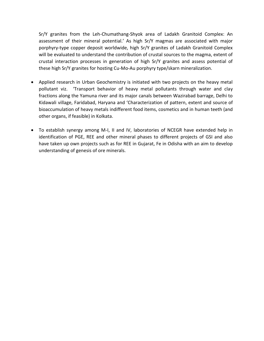Sr/Y granites from the Leh-Chumathang-Shyok area of Ladakh Granitoid Complex: An assessment of their mineral potential.' As high Sr/Y magmas are associated with major porphyry-type copper deposit worldwide, high Sr/Y granites of Ladakh Granitoid Complex will be evaluated to understand the contribution of crustal sources to the magma, extent of crustal interaction processes in generation of high Sr/Y granites and assess potential of these high Sr/Y granites for hosting Cu-Mo-Au porphyry type/skarn mineralization.

- Applied research in Urban Geochemistry is initiated with two projects on the heavy metal pollutant viz. 'Transport behavior of heavy metal pollutants through water and clay fractions along the Yamuna river and its major canals between Wazirabad barrage, Delhi to Kidawali village, Faridabad, Haryana and 'Characterization of pattern, extent and source of bioaccumulation of heavy metals indifferent food items, cosmetics and in human teeth (and other organs, if feasible) in Kolkata.
- To establish synergy among M-I, II and IV, laboratories of NCEGR have extended help in identification of PGE, REE and other mineral phases to different projects of GSI and also have taken up own projects such as for REE in Gujarat, Fe in Odisha with an aim to develop understanding of genesis of ore minerals.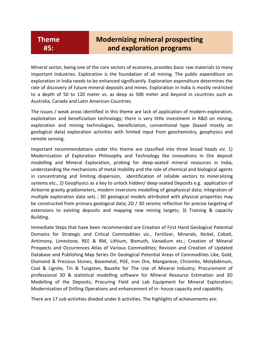### **Modernizing mineral prospecting and exploration programs**

Mineral sector, being one of the core sectors of economy, provides basic raw materials to many important Industries. Exploration is the foundation of all mining. The public expenditure on exploration in India needs to be enhanced significantly. Exploration expenditure determines the rate of discovery of future mineral deposits and mines. Exploration in India is mostly restricted to a depth of 50 to 120 meter vs. as deep as 500 meter and beyond in countries such as Australia, Canada and Latin American Countries.

The issues / weak areas identified in this theme are lack of application of modern exploration, exploitation and beneficiation technology; there is very little investment in R&D on mining, exploration and mining technologies, beneficiation, conventional type (based mostly on geological data) exploration activities with limited input from geochemistry, geophysics and remote sensing.

Important recommendations under this theme are classified into three broad heads viz. 1) Modernisation of Exploration Philosophy and Technology like innovations in Ore deposit modelling and Mineral Exploration, probing for deep-seated mineral resources in India, understanding the mechanisms of metal mobility and the role of chemical and biological agents in concentrating and limiting dispersion, identification of reliable vectors to mineralizing systems etc., 2) Geophysics as a key to unlock hidden/ deep-seated Deposits e.g. application of Airborne gravity gradiometers, modern inversions modelling of geophysical data; integration of multiple exploration data sets ; 3D geological models attributed with physical properties may be constructed from primary geological data; 2D / 3D seismic reflection for precise targeting of extensions to existing deposits and mapping new mining targets; 3) Training & capacity Building.

Immediate Steps that have been recommended are Creation of First Hand Geological Potential Domains for Strategic and Critical Commodities viz., Fertilizer, Minerals, Nickel, Cobalt, Antimony, Limestone, REE & RM, Lithium, Bismuth, Vanadium etc.; Creation of Mineral Prospects and Occurrences Atlas of Various Commodities; Revision and Creation of Updated Database and Publishing Map Series On Geological Potential Areas of Commodities Like, Gold, Diamond & Precious Stones, Basemetal, PGE, Iron Ore, Manganese, Chromite, Molybdenum, Coal & Lignite, Tin & Tungsten, Bauxite for The Use of Mineral Industry; Procurement of professional 3D & statistical modelling software for Mineral Resource Estimation and 3D Modelling of the Deposits; Procuring Field and Lab Equipment for Mineral Exploration; Modernisation of Drilling Operations and enhancement of in- house capacity and capability.

There are 17 sub-activities divided under 6 activities. The highlights of achievements are: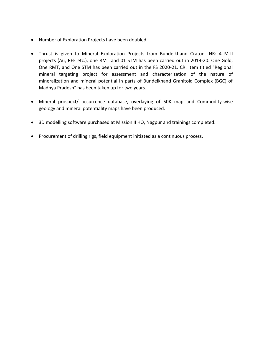- Number of Exploration Projects have been doubled
- Thrust is given to Mineral Exploration Projects from Bundelkhand Craton- NR: 4 M-II projects (Au, REE etc.), one RMT and 01 STM has been carried out in 2019-20. One Gold, One RMT, and One STM has been carried out in the FS 2020-21. CR: Item titled "Regional mineral targeting project for assessment and characterization of the nature of mineralization and mineral potential in parts of Bundelkhand Granitoid Complex (BGC) of Madhya Pradesh" has been taken up for two years.
- Mineral prospect/ occurrence database, overlaying of 50K map and Commodity-wise geology and mineral potentiality maps have been produced.
- 3D modelling software purchased at Mission II HQ, Nagpur and trainings completed.
- Procurement of drilling rigs, field equipment initiated as a continuous process.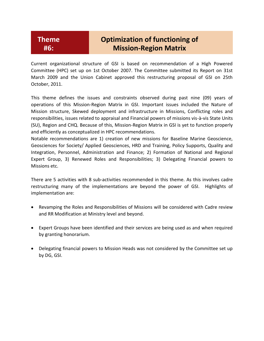# **Optimization of functioning of Mission-Region Matrix**

Current organizational structure of GSI is based on recommendation of a High Powered Committee (HPC) set up on 1st October 2007. The Committee submitted its Report on 31st March 2009 and the Union Cabinet approved this restructuring proposal of GSI on 25th October, 2011.

This theme defines the issues and constraints observed during past nine (09) years of operations of this Mission-Region Matrix in GSI. Important issues included the Nature of Mission structure, Skewed deployment and infrastructure in Missions, Conflicting roles and responsibilities, issues related to appraisal and Financial powers of missions vis-à-vis State Units (SU), Region and CHQ. Because of this, Mission-Region Matrix in GSI is yet to function properly and efficiently as conceptualized in HPC recommendations.

Notable recommendations are 1) creation of new missions for Baseline Marine Geoscience, Geosciences for Society/ Applied Geosciences, HRD and Training, Policy Supports, Quality and Integration, Personnel, Administration and Finance; 2) Formation of National and Regional Expert Group, 3) Renewed Roles and Responsibilities; 3) Delegating Financial powers to Missions etc.

There are 5 activities with 8 sub-activities recommended in this theme. As this involves cadre restructuring many of the implementations are beyond the power of GSI. Highlights of implementation are:

- Revamping the Roles and Responsibilities of Missions will be considered with Cadre review and RR Modification at Ministry level and beyond.
- Expert Groups have been identified and their services are being used as and when required by granting honorarium.
- Delegating financial powers to Mission Heads was not considered by the Committee set up by DG, GSI.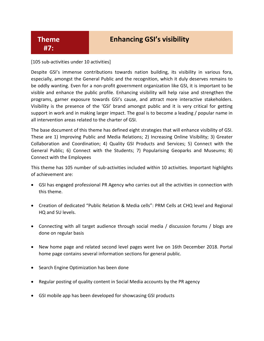### **Enhancing GSI's visibility**

#### **Theme #7:**

[105 sub-activities under 10 activities]

Despite GSI's immense contributions towards nation building, its visibility in various fora, especially, amongst the General Public and the recognition, which it duly deserves remains to be oddly wanting. Even for a non-profit government organization like GSI, it is important to be visible and enhance the public profile. Enhancing visibility will help raise and strengthen the programs, garner exposure towards GSI's cause, and attract more interactive stakeholders. Visibility is the presence of the 'GSI' brand amongst public and it is very critical for getting support in work and in making larger impact. The goal is to become a leading / popular name in all intervention areas related to the charter of GSI.

The base document of this theme has defined eight strategies that will enhance visibility of GSI. These are 1) Improving Public and Media Relations; 2) Increasing Online Visibility; 3) Greater Collaboration and Coordination; 4) Quality GSI Products and Services; 5) Connect with the General Public; 6) Connect with the Students; 7) Popularising Geoparks and Museums; 8) Connect with the Employees

This theme has 105 number of sub-activities included within 10 activities. Important highlights of achievement are:

- GSI has engaged professional PR Agency who carries out all the activities in connection with this theme.
- Creation of dedicated "Public Relation & Media cells": PRM Cells at CHQ level and Regional HQ and SU levels.
- Connecting with all target audience through social media / discussion forums / blogs are done on regular basis
- New home page and related second level pages went live on 16th December 2018. Portal home page contains several information sections for general public.
- Search Engine Optimization has been done
- Regular posting of quality content in Social Media accounts by the PR agency
- GSI mobile app has been developed for showcasing GSI products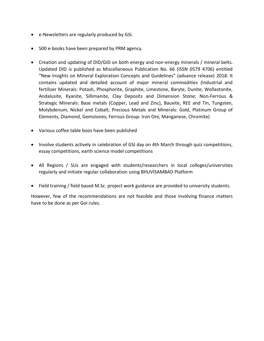- e-Newsletters are regularly produced by GSI.
- 500 e-books have been prepared by PRM agency.
- Creation and updating of DID/GID on both energy and non-energy minerals / mineral belts. Updated DID is published as Miscellaneous Publication No. 66 (ISSN 0579 4706) entitled "New Insights on Mineral Exploration Concepts and Guidelines" (advance release) 2018. It contains updated and detailed account of major mineral commodities (Industrial and fertilizer Minerals: Potash, Phosphorite, Graphite, Limestone, Baryte, Dunite, Wollastonite, Andalusite, Kyanite, Sillimanite, Clay Deposits and Dimension Stone; Non-Ferrous & Strategic Minerals: Base metals (Copper, Lead and Zinc), Bauxite, REE and Tin, Tungsten, Molybdenum, Nickel and Cobalt; Precious Metals and Minerals: Gold, Platinum Group of Elements, Diamond, Gemstones; Ferrous Group: Iron Ore, Manganese, Chromite)
- Various coffee table boos have been published
- Involve students actively in celebration of GSI day on 4th March through quiz competitions, essay competitions, earth science model competitions
- All Regions / SUs are engaged with students/researchers in local colleges/universities regularly and initiate regular collaboration using BHUVISAMBAD Platform
- Field training / field based M.Sc. project work guidance are provided to university students.

However, few of the recommendations are not feasible and those involving finance matters have to be done as per GoI rules.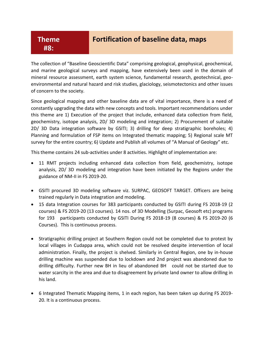#### **Theme #8:**

### **Fortification of baseline data, maps**

The collection of "Baseline Geoscientific Data" comprising geological, geophysical, geochemical, and marine geological surveys and mapping, have extensively been used in the domain of mineral resource assessment, earth system science, fundamental research, geotechnical, geoenvironmental and natural hazard and risk studies, glaciology, seismotectonics and other issues of concern to the society.

Since geological mapping and other baseline data are of vital importance, there is a need of constantly upgrading the data with new concepts and tools. Important recommendations under this theme are 1) Execution of the project that include, enhanced data collection from field, geochemistry, isotope analysis, 2D/ 3D modeling and integration; 2) Procurement of suitable 2D/ 3D Data integration software by GSITI; 3) drilling for deep stratigraphic boreholes; 4) Planning and formulation of FSP items on Integrated thematic mapping; 5) Regional scale MT survey for the entire country; 6) Update and Publish all volumes of "A Manual of Geology" etc.

This theme contains 24 sub-activities under 8 activities. Highlight of implementation are:

- 11 RMT projects including enhanced data collection from field, geochemistry, isotope analysis, 2D/ 3D modeling and integration have been initiated by the Regions under the guidance of NM-II in FS 2019-20.
- GSITI procured 3D modeling software viz. SURPAC, GEOSOFT TARGET. Officers are being trained regularly in Data integration and modeling.
- 15 data Integration courses for 383 participants conducted by GSITI during FS 2018-19 (2 courses) & FS 2019-20 (13 courses). 14 nos. of 3D Modelling (Surpac, Geosoft etc) programs for 193 participants conducted by GSITI During FS 2018-19 (8 courses) & FS 2019-20 (6 Courses). This is continuous process.
- Stratigraphic drilling project at Southern Region could not be completed due to protest by local villages in Cudappa area, which could not be resolved despite intervention of local administration. Finally, the project is shelved. Similarly in Central Region, one by in-house drilling machine was suspended due to lockdown and 2nd project was abandoned due to drilling difficulty. Further new BH in lieu of abandoned BH could not be started due to water scarcity in the area and due to disagreement by private land owner to allow drilling in his land.
- 6 Integrated Thematic Mapping items, 1 in each region, has been taken up during FS 2019- 20. It is a continuous process.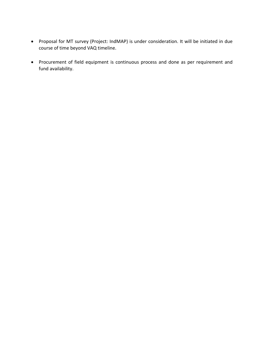- Proposal for MT survey (Project: IndMAP) is under consideration. It will be initiated in due course of time beyond VAQ timeline.
- Procurement of field equipment is continuous process and done as per requirement and fund availability.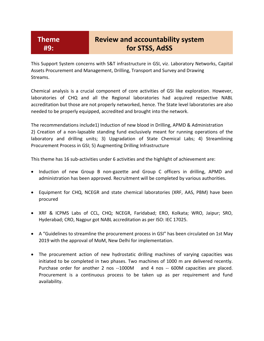## **Review and accountability system for STSS, AdSS**

This Support System concerns with S&T infrastructure in GSI, viz. Laboratory Networks, Capital Assets Procurement and Management, Drilling, Transport and Survey and Drawing Streams.

Chemical analysis is a crucial component of core activities of GSI like exploration. However, laboratories of CHQ and all the Regional laboratories had acquired respective NABL accreditation but those are not properly networked, hence. The State level laboratories are also needed to be properly equipped, accredited and brought into the network.

The recommendations include1) Induction of new blood in Drilling, APMD & Administration 2) Creation of a non-lapsable standing fund exclusively meant for running operations of the laboratory and drilling units; 3) Upgradation of State Chemical Labs; 4) Streamlining Procurement Process in GSI; 5) Augmenting Drilling Infrastructure

This theme has 16 sub-activities under 6 activities and the highlight of achievement are:

- Induction of new Group B non-gazette and Group C officers in drilling, APMD and administration has been approved. Recruitment will be completed by various authorities.
- Equipment for CHQ, NCEGR and state chemical laboratories (XRF, AAS, PBM) have been procured
- XRF & ICPMS Labs of CCL, CHQ; NCEGR, Faridabad; ERO, Kolkata; WRO, Jaipur; SRO, Hyderabad; CRO, Nagpur got NABL accreditation as per ISO: IEC 17025.
- A "Guidelines to streamline the procurement process in GSI" has been circulated on 1st May 2019 with the approval of MoM, New Delhi for implementation.
- The procurement action of new hydrostatic drilling machines of varying capacities was initiated to be completed in two phases. Two machines of 1000 m are delivered recently. Purchase order for another 2 nos --1000M and 4 nos -- 600M capacities are placed. Procurement is a continuous process to be taken up as per requirement and fund availability.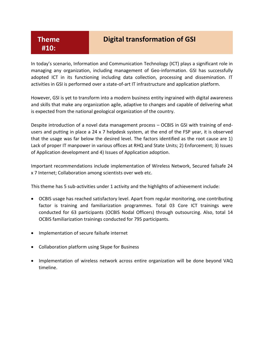### **Digital transformation of GSI**

In today's scenario, Information and Communication Technology (ICT) plays a significant role in managing any organization, including management of Geo-information. GSI has successfully adopted ICT in its functioning including data collection, processing and dissemination. IT activities in GSI is performed over a state-of-art IT infrastructure and application platform.

However, GSI is yet to transform into a modern business entity ingrained with digital awareness and skills that make any organization agile, adaptive to changes and capable of delivering what is expected from the national geological organization of the country.

Despite introduction of a novel data management process – OCBIS in GSI with training of endusers and putting in place a 24 x 7 helpdesk system, at the end of the FSP year, it is observed that the usage was far below the desired level. The factors identified as the root cause are 1) Lack of proper IT manpower in various offices at RHQ and State Units; 2) Enforcement; 3) Issues of Application development and 4) Issues of Application adoption.

Important recommendations include implementation of Wireless Network, Secured failsafe 24 x 7 Internet; Collaboration among scientists over web etc.

This theme has 5 sub-activities under 1 activity and the highlights of achievement include:

- OCBIS usage has reached satisfactory level. Apart from regular monitoring, one contributing factor is training and familiarization programmes. Total 03 Core ICT trainings were conducted for 63 participants (OCBIS Nodal Officers) through outsourcing. Also, total 14 OCBIS familiarization trainings conducted for 795 participants.
- Implementation of secure failsafe internet
- Collaboration platform using Skype for Business
- Implementation of wireless network across entire organization will be done beyond VAQ timeline.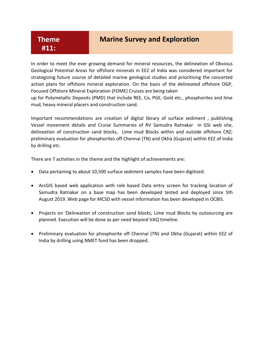#### **Marine Survey and Exploration**

In order to meet the ever growing demand for mineral resources, the delineation of Obvious Geological Potential Areas for offshore minerals in EEZ of India was considered important for strategizing future course of detailed marine geological studies and prioritising the concerted action plans for offshore mineral exploration. On the basis of the delineated offshore OGP, Focused Offshore Mineral Exploration (FOME) Cruises are being taken

up for Polymetallic Deposits (PMD) that include REE, Co, PGE, Gold etc., phosphorites and lime mud, heavy mineral placers and construction sand.

Important recommendations are creation of digital library of surface sediment , publishing Vessel movement details and Cruise Summaries of RV Samudra Ratnakar in GSI web site, delineation of construction sand blocks, Lime mud Blocks within and outside offshore CRZ; preliminary evaluation for phosphorites off Chennai (TN) and Okha (Gujarat) within EEZ of India by drilling etc.

There are 7 activities in the theme and the highlight of achievements are:

- Data pertaining to about 10,500 surface sediment samples have been digitized.
- ArcGIS based web application with role based Data entry screen for tracking location of Samudra Ratnakar on a base map has been developed tested and deployed since 5th August 2019. Web page for MCSD with vessel information has been developed in OCBIS.
- Projects on 'Delineation of construction sand blocks, Lime mud Blocks by outsourcing are planned. Execution will be done as per need beyond VAQ timeline.
- Preliminary evaluation for phosphorite off Chennai (TN) and Okha (Gujarat) within EEZ of India by drilling using NMET fund has been dropped.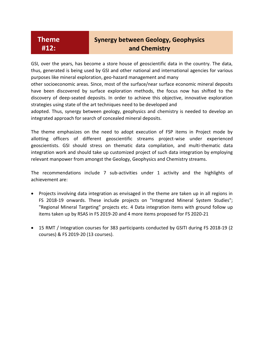### **Synergy between Geology, Geophysics and Chemistry**

GSI, over the years, has become a store house of geoscientific data in the country. The data, thus, generated is being used by GSI and other national and international agencies for various purposes like mineral exploration, geo-hazard management and many

other socioeconomic areas. Since, most of the surface/near surface economic mineral deposits have been discovered by surface exploration methods, the focus now has shifted to the discovery of deep-seated deposits. In order to achieve this objective, innovative exploration strategies using state of the art techniques need to be developed and

adopted. Thus, synergy between geology, geophysics and chemistry is needed to develop an integrated approach for search of concealed mineral deposits.

The theme emphasizes on the need to adopt execution of FSP items in Project mode by allotting officers of different geoscientific streams project-wise under experienced geoscientists. GSI should stress on thematic data compilation, and multi-thematic data integration work and should take up customized project of such data integration by employing relevant manpower from amongst the Geology, Geophysics and Chemistry streams.

The recommendations include 7 sub-activities under 1 activity and the highlights of achievement are:

- Projects involving data integration as envisaged in the theme are taken up in all regions in FS 2018-19 onwards. These include projects on "Integrated Mineral System Studies"; "Regional Mineral Targeting" projects etc. 4 Data integration items with ground follow up items taken up by RSAS in FS 2019-20 and 4 more items proposed for FS 2020-21
- 15 RMT / Integration courses for 383 participants conducted by GSITI during FS 2018-19 (2 courses) & FS 2019-20 (13 courses).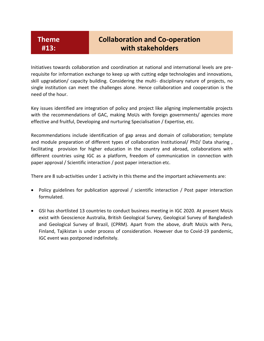### **Collaboration and Co-operation with stakeholders**

Initiatives towards collaboration and coordination at national and international levels are prerequisite for information exchange to keep up with cutting edge technologies and innovations, skill upgradation/ capacity building. Considering the multi- disciplinary nature of projects, no single institution can meet the challenges alone. Hence collaboration and cooperation is the need of the hour.

Key issues identified are integration of policy and project like aligning implementable projects with the recommendations of GAC, making MoUs with foreign governments/ agencies more effective and fruitful, Developing and nurturing Specialisation / Expertise, etc.

Recommendations include identification of gap areas and domain of collaboration; template and module preparation of different types of collaboration Institutional/ PhD/ Data sharing, facilitating provision for higher education in the country and abroad, collaborations with different countries using IGC as a platform, freedom of communication in connection with paper approval / Scientific interaction / post paper interaction etc.

There are 8 sub-activities under 1 activity in this theme and the important achievements are:

- Policy guidelines for publication approval / scientific interaction / Post paper interaction formulated.
- GSI has shortlisted 13 countries to conduct business meeting in IGC 2020. At present MoUs exist with Geoscience Australia, British Geological Survey, Geological Survey of Bangladesh and Geological Survey of Brazil, (CPRM). Apart from the above, draft MoUs with Peru, Finland, Tajikistan is under process of consideration. However due to Covid-19 pandemic, IGC event was postponed indefinitely.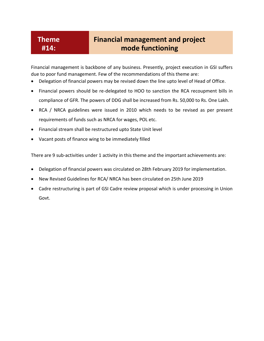#### **Theme #14:**

### **Financial management and project mode functioning**

Financial management is backbone of any business. Presently, project execution in GSI suffers due to poor fund management. Few of the recommendations of this theme are:

- Delegation of financial powers may be revised down the line upto level of Head of Office.
- Financial powers should be re-delegated to HOO to sanction the RCA recoupment bills in compliance of GFR. The powers of DDG shall be increased from Rs. 50,000 to Rs. One Lakh.
- RCA / NRCA guidelines were issued in 2010 which needs to be revised as per present requirements of funds such as NRCA for wages, POL etc.
- Financial stream shall be restructured upto State Unit level
- Vacant posts of finance wing to be immediately filled

There are 9 sub-activities under 1 activity in this theme and the important achievements are:

- Delegation of financial powers was circulated on 28th February 2019 for implementation.
- New Revised Guidelines for RCA/ NRCA has been circulated on 25th June 2019
- Cadre restructuring is part of GSI Cadre review proposal which is under processing in Union Govt.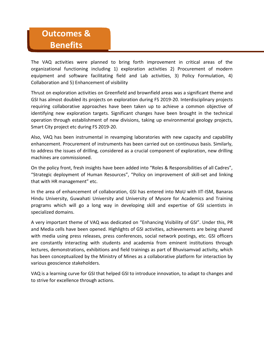# **Outcomes & Benefits**

The VAQ activities were planned to bring forth improvement in critical areas of the organizational functioning including 1) exploration activities 2) Procurement of modern equipment and software facilitating field and Lab activities, 3) Policy Formulation, 4) Collaboration and 5) Enhancement of visibility

Thrust on exploration activities on Greenfield and brownfield areas was a significant theme and GSI has almost doubled its projects on exploration during FS 2019-20. Interdisciplinary projects requiring collaborative approaches have been taken up to achieve a common objective of identifying new exploration targets. Significant changes have been brought in the technical operation through establishment of new divisions, taking up environmental geology projects, Smart City project etc during FS 2019-20.

Also, VAQ has been instrumental in revamping laboratories with new capacity and capability enhancement. Procurement of instruments has been carried out on continuous basis. Similarly, to address the issues of drilling, considered as a crucial component of exploration, new drilling machines are commissioned.

On the policy front, fresh insights have been added into "Roles & Responsibilities of all Cadres", "Strategic deployment of Human Resources", "Policy on improvement of skill-set and linking that with HR management" etc.

In the area of enhancement of collaboration, GSI has entered into MoU with IIT-ISM, Banaras Hindu University, Guwahati University and University of Mysore for Academics and Training programs which will go a long way in developing skill and expertise of GSI scientists in specialized domains.

A very important theme of VAQ was dedicated on "Enhancing Visibility of GSI". Under this, PR and Media cells have been opened. Highlights of GSI activities, achievements are being shared with media using press releases, press conferences, social network postings, etc. GSI officers are constantly interacting with students and academia from eminent institutions through lectures, demonstrations, exhibitions and field trainings as part of Bhuvisamvad activity, which has been conceptualized by the Ministry of Mines as a collaborative platform for interaction by various geoscience stakeholders.

VAQ is a learning curve for GSI that helped GSI to introduce innovation, to adapt to changes and to strive for excellence through actions.